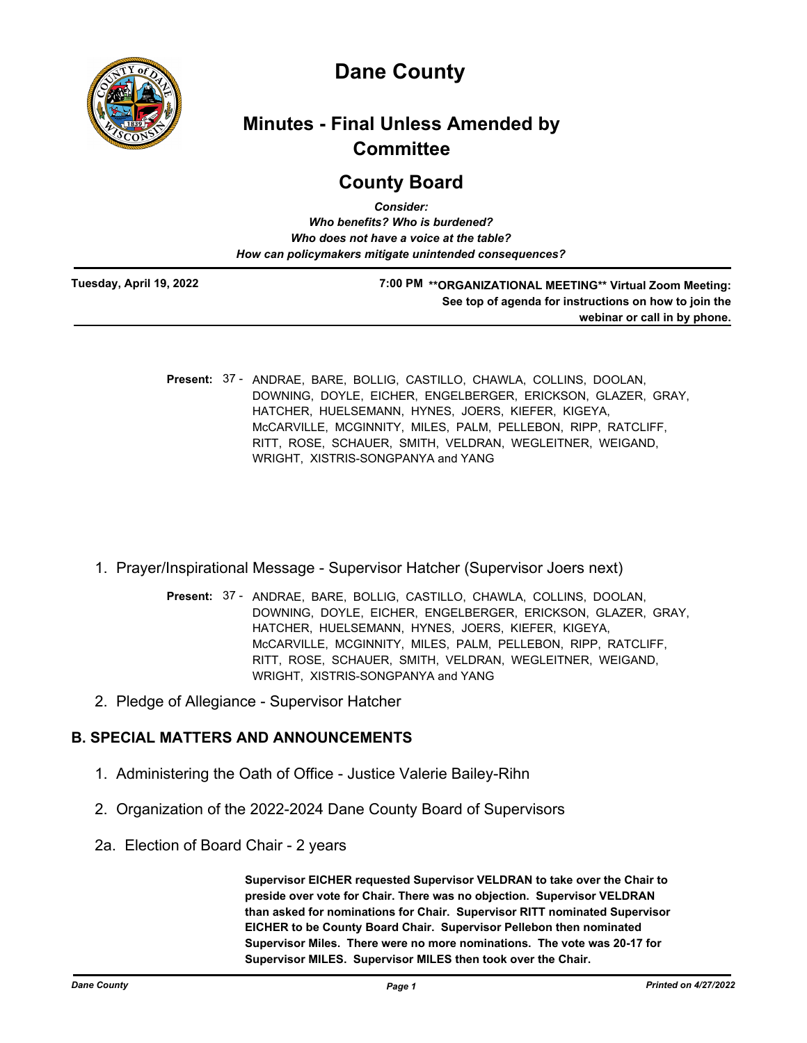

# **Dane County**

# **Minutes - Final Unless Amended by Committee**

## **County Board**

| <b>Consider:</b>                                       |  |
|--------------------------------------------------------|--|
| Who benefits? Who is burdened?                         |  |
| Who does not have a voice at the table?                |  |
| How can policymakers mitigate unintended consequences? |  |
|                                                        |  |

**Tuesday, April 19, 2022**

**7:00 PM \*\*ORGANIZATIONAL MEETING\*\* Virtual Zoom Meeting: See top of agenda for instructions on how to join the webinar or call in by phone.**

- Present: 37 ANDRAE, BARE, BOLLIG, CASTILLO, CHAWLA, COLLINS, DOOLAN, DOWNING, DOYLE, EICHER, ENGELBERGER, ERICKSON, GLAZER, GRAY, HATCHER, HUELSEMANN, HYNES, JOERS, KIEFER, KIGEYA, McCARVILLE, MCGINNITY, MILES, PALM, PELLEBON, RIPP, RATCLIFF, RITT, ROSE, SCHAUER, SMITH, VELDRAN, WEGLEITNER, WEIGAND, WRIGHT, XISTRIS-SONGPANYA and YANG
- 1. Prayer/Inspirational Message Supervisor Hatcher (Supervisor Joers next)
	- Present: 37 ANDRAE, BARE, BOLLIG, CASTILLO, CHAWLA, COLLINS, DOOLAN, DOWNING, DOYLE, EICHER, ENGELBERGER, ERICKSON, GLAZER, GRAY, HATCHER, HUELSEMANN, HYNES, JOERS, KIEFER, KIGEYA, McCARVILLE, MCGINNITY, MILES, PALM, PELLEBON, RIPP, RATCLIFF, RITT, ROSE, SCHAUER, SMITH, VELDRAN, WEGLEITNER, WEIGAND, WRIGHT, XISTRIS-SONGPANYA and YANG
- 2. Pledge of Allegiance Supervisor Hatcher

## **B. SPECIAL MATTERS AND ANNOUNCEMENTS**

- 1. Administering the Oath of Office Justice Valerie Bailey-Rihn
- 2. Organization of the 2022-2024 Dane County Board of Supervisors
- 2a. Election of Board Chair 2 years

**Supervisor EICHER requested Supervisor VELDRAN to take over the Chair to preside over vote for Chair. There was no objection. Supervisor VELDRAN than asked for nominations for Chair. Supervisor RITT nominated Supervisor EICHER to be County Board Chair. Supervisor Pellebon then nominated Supervisor Miles. There were no more nominations. The vote was 20-17 for Supervisor MILES. Supervisor MILES then took over the Chair.**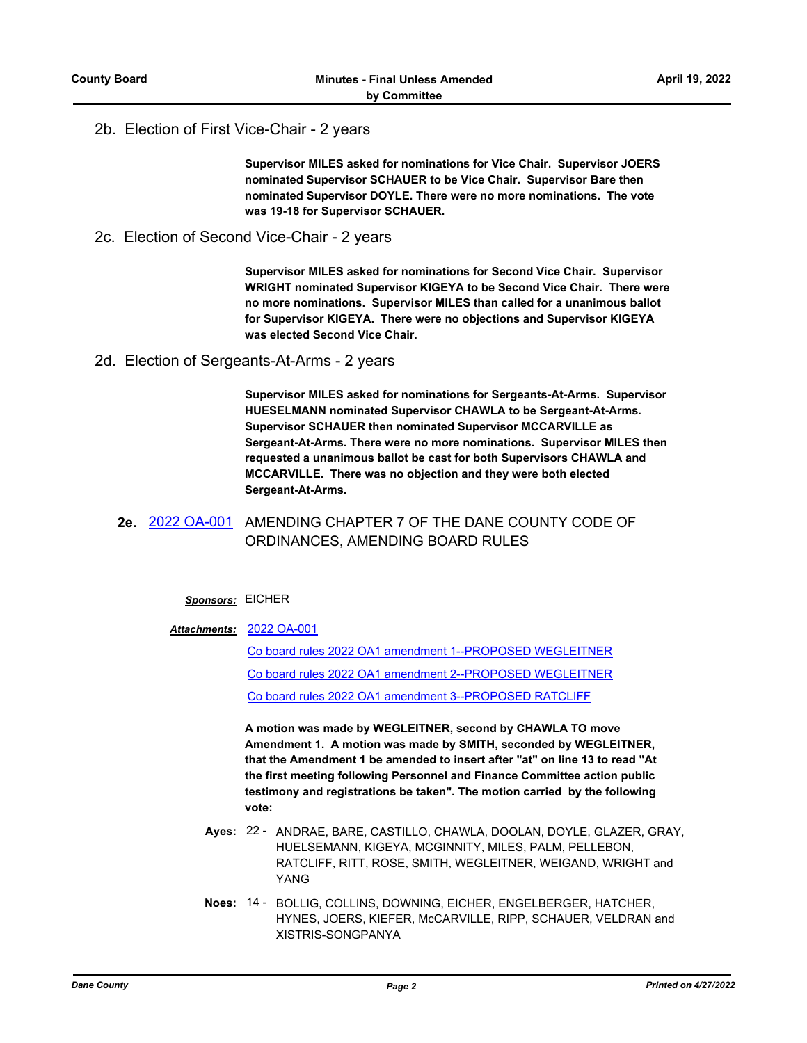### 2b. Election of First Vice-Chair - 2 years

**Supervisor MILES asked for nominations for Vice Chair. Supervisor JOERS nominated Supervisor SCHAUER to be Vice Chair. Supervisor Bare then nominated Supervisor DOYLE. There were no more nominations. The vote was 19-18 for Supervisor SCHAUER.**

2c. Election of Second Vice-Chair - 2 years

**Supervisor MILES asked for nominations for Second Vice Chair. Supervisor WRIGHT nominated Supervisor KIGEYA to be Second Vice Chair. There were no more nominations. Supervisor MILES than called for a unanimous ballot for Supervisor KIGEYA. There were no objections and Supervisor KIGEYA was elected Second Vice Chair.**

2d. Election of Sergeants-At-Arms - 2 years

**Supervisor MILES asked for nominations for Sergeants-At-Arms. Supervisor HUESELMANN nominated Supervisor CHAWLA to be Sergeant-At-Arms. Supervisor SCHAUER then nominated Supervisor MCCARVILLE as Sergeant-At-Arms. There were no more nominations. Supervisor MILES then requested a unanimous ballot be cast for both Supervisors CHAWLA and MCCARVILLE. There was no objection and they were both elected Sergeant-At-Arms.**

### **2e.** [2022 OA-001](http://dane.legistar.com/gateway.aspx?m=l&id=/matter.aspx?key=22615) AMENDING CHAPTER 7 OF THE DANE COUNTY CODE OF ORDINANCES, AMENDING BOARD RULES

#### *Sponsors:* EICHER

#### [2022 OA-001](http://dane.legistar.com/gateway.aspx?M=F&ID=216e5e97-69eb-4ddb-9f42-3b7311c089e9.pdf) *Attachments:*

[Co board rules 2022 OA1 amendment 1--PROPOSED WEGLEITNER](http://dane.legistar.com/gateway.aspx?M=F&ID=b3323ad1-b115-40ae-a1e2-d5d4d7698877.pdf) [Co board rules 2022 OA1 amendment 2--PROPOSED WEGLEITNER](http://dane.legistar.com/gateway.aspx?M=F&ID=1748e780-f8fc-4387-b10b-d3c362d2e993.pdf) [Co board rules 2022 OA1 amendment 3--PROPOSED RATCLIFF](http://dane.legistar.com/gateway.aspx?M=F&ID=397aa5df-2131-4685-b60a-c0fa33e833ed.pdf)

**A motion was made by WEGLEITNER, second by CHAWLA TO move Amendment 1. A motion was made by SMITH, seconded by WEGLEITNER, that the Amendment 1 be amended to insert after "at" on line 13 to read "At the first meeting following Personnel and Finance Committee action public testimony and registrations be taken". The motion carried by the following vote:**

- Ayes: 22 ANDRAE, BARE, CASTILLO, CHAWLA, DOOLAN, DOYLE, GLAZER, GRAY, HUELSEMANN, KIGEYA, MCGINNITY, MILES, PALM, PELLEBON, RATCLIFF, RITT, ROSE, SMITH, WEGLEITNER, WEIGAND, WRIGHT and YANG
- Noes: 14 BOLLIG, COLLINS, DOWNING, EICHER, ENGELBERGER, HATCHER, HYNES, JOERS, KIEFER, McCARVILLE, RIPP, SCHAUER, VELDRAN and XISTRIS-SONGPANYA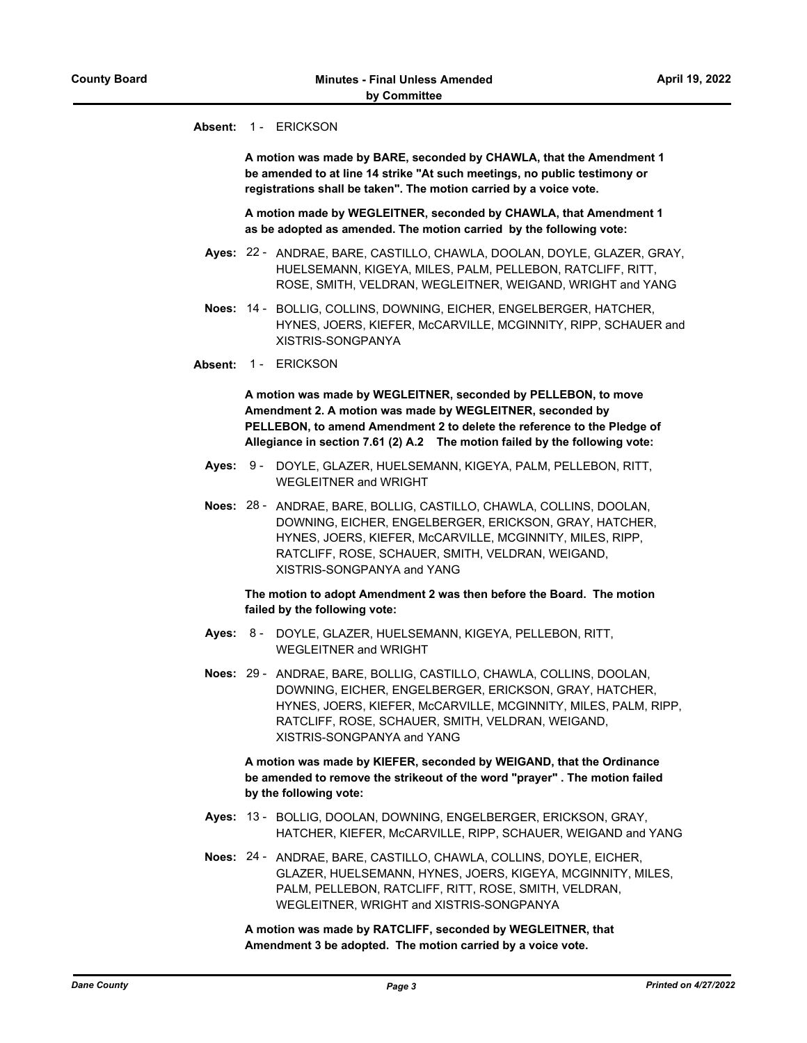#### **Absent:** 1 - ERICKSON

**A motion was made by BARE, seconded by CHAWLA, that the Amendment 1 be amended to at line 14 strike "At such meetings, no public testimony or registrations shall be taken". The motion carried by a voice vote.**

**A motion made by WEGLEITNER, seconded by CHAWLA, that Amendment 1 as be adopted as amended. The motion carried by the following vote:**

- Ayes: 22 ANDRAE, BARE, CASTILLO, CHAWLA, DOOLAN, DOYLE, GLAZER, GRAY, HUELSEMANN, KIGEYA, MILES, PALM, PELLEBON, RATCLIFF, RITT, ROSE, SMITH, VELDRAN, WEGLEITNER, WEIGAND, WRIGHT and YANG
- Noes: 14 BOLLIG, COLLINS, DOWNING, EICHER, ENGELBERGER, HATCHER, HYNES, JOERS, KIEFER, McCARVILLE, MCGINNITY, RIPP, SCHAUER and XISTRIS-SONGPANYA
- **Absent:** 1 ERICKSON

**A motion was made by WEGLEITNER, seconded by PELLEBON, to move Amendment 2. A motion was made by WEGLEITNER, seconded by PELLEBON, to amend Amendment 2 to delete the reference to the Pledge of Allegiance in section 7.61 (2) A.2 The motion failed by the following vote:**

- Ayes: 9 DOYLE, GLAZER, HUELSEMANN, KIGEYA, PALM, PELLEBON, RITT, WEGLEITNER and WRIGHT
- Noes: 28 ANDRAE, BARE, BOLLIG, CASTILLO, CHAWLA, COLLINS, DOOLAN, DOWNING, EICHER, ENGELBERGER, ERICKSON, GRAY, HATCHER, HYNES, JOERS, KIEFER, McCARVILLE, MCGINNITY, MILES, RIPP, RATCLIFF, ROSE, SCHAUER, SMITH, VELDRAN, WEIGAND, XISTRIS-SONGPANYA and YANG

**The motion to adopt Amendment 2 was then before the Board. The motion failed by the following vote:**

- Ayes: 8 DOYLE, GLAZER, HUELSEMANN, KIGEYA, PELLEBON, RITT, WEGLEITNER and WRIGHT
- Noes: 29 ANDRAE, BARE, BOLLIG, CASTILLO, CHAWLA, COLLINS, DOOLAN, DOWNING, EICHER, ENGELBERGER, ERICKSON, GRAY, HATCHER, HYNES, JOERS, KIEFER, McCARVILLE, MCGINNITY, MILES, PALM, RIPP, RATCLIFF, ROSE, SCHAUER, SMITH, VELDRAN, WEIGAND, XISTRIS-SONGPANYA and YANG

**A motion was made by KIEFER, seconded by WEIGAND, that the Ordinance be amended to remove the strikeout of the word "prayer" . The motion failed by the following vote:**

- Ayes: 13 BOLLIG, DOOLAN, DOWNING, ENGELBERGER, ERICKSON, GRAY, HATCHER, KIEFER, McCARVILLE, RIPP, SCHAUER, WEIGAND and YANG
- Noes: 24 ANDRAE, BARE, CASTILLO, CHAWLA, COLLINS, DOYLE, EICHER, GLAZER, HUELSEMANN, HYNES, JOERS, KIGEYA, MCGINNITY, MILES, PALM, PELLEBON, RATCLIFF, RITT, ROSE, SMITH, VELDRAN, WEGLEITNER, WRIGHT and XISTRIS-SONGPANYA

**A motion was made by RATCLIFF, seconded by WEGLEITNER, that Amendment 3 be adopted. The motion carried by a voice vote.**